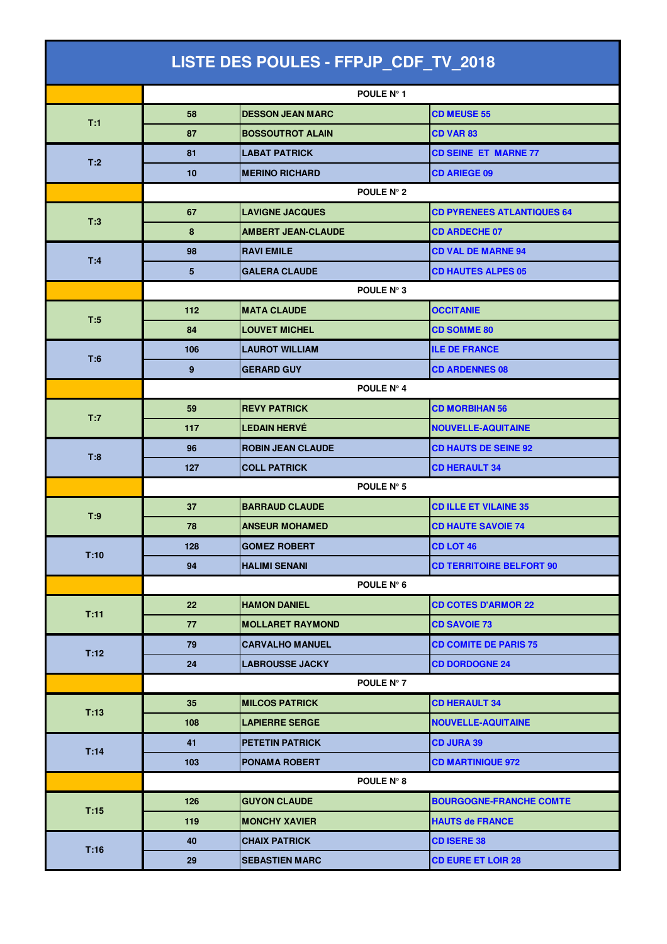| LISTE DES POULES - FFPJP_CDF_TV_2018 |            |                           |                                   |  |  |
|--------------------------------------|------------|---------------------------|-----------------------------------|--|--|
|                                      |            | POULE N° 1                |                                   |  |  |
| T:1                                  | 58         | <b>DESSON JEAN MARC</b>   | <b>CD MEUSE 55</b>                |  |  |
|                                      | 87         | <b>BOSSOUTROT ALAIN</b>   | <b>CD VAR 83</b>                  |  |  |
|                                      | 81         | <b>LABAT PATRICK</b>      | <b>CD SEINE ET MARNE 77</b>       |  |  |
| T:2                                  | 10         | <b>MERINO RICHARD</b>     | <b>CD ARIEGE 09</b>               |  |  |
|                                      | POULE N° 2 |                           |                                   |  |  |
|                                      | 67         | <b>LAVIGNE JACQUES</b>    | <b>CD PYRENEES ATLANTIQUES 64</b> |  |  |
| T:3                                  | 8          | <b>AMBERT JEAN-CLAUDE</b> | <b>CD ARDECHE 07</b>              |  |  |
| T:4                                  | 98         | <b>RAVI EMILE</b>         | <b>CD VAL DE MARNE 94</b>         |  |  |
|                                      | 5          | <b>GALERA CLAUDE</b>      | <b>CD HAUTES ALPES 05</b>         |  |  |
|                                      | POULE N° 3 |                           |                                   |  |  |
| T:5                                  | 112        | <b>MATA CLAUDE</b>        | <b>OCCITANIE</b>                  |  |  |
|                                      | 84         | <b>LOUVET MICHEL</b>      | <b>CD SOMME 80</b>                |  |  |
| T:6                                  | 106        | <b>LAUROT WILLIAM</b>     | <b>ILE DE FRANCE</b>              |  |  |
|                                      | 9          | <b>GERARD GUY</b>         | <b>CD ARDENNES 08</b>             |  |  |
|                                      |            | POULE N° 4                |                                   |  |  |
| T:7                                  | 59         | <b>REVY PATRICK</b>       | <b>CD MORBIHAN 56</b>             |  |  |
|                                      | 117        | <b>LEDAIN HERVÉ</b>       | <b>NOUVELLE-AQUITAINE</b>         |  |  |
| T:8                                  | 96         | <b>ROBIN JEAN CLAUDE</b>  | <b>CD HAUTS DE SEINE 92</b>       |  |  |
|                                      | 127        | <b>COLL PATRICK</b>       | <b>CD HERAULT 34</b>              |  |  |
|                                      |            | POULE N° 5                |                                   |  |  |
| T:9                                  | 37         | <b>BARRAUD CLAUDE</b>     | <b>CD ILLE ET VILAINE 35</b>      |  |  |
|                                      | 78         | <b>ANSEUR MOHAMED</b>     | <b>CD HAUTE SAVOIE 74</b>         |  |  |
| T:10                                 | 128        | <b>GOMEZ ROBERT</b>       | CD LOT 46                         |  |  |
|                                      | 94         | <b>HALIMI SENANI</b>      | <b>CD TERRITOIRE BELFORT 90</b>   |  |  |
|                                      |            | POULE N° 6                |                                   |  |  |
| T:11                                 | 22         | <b>HAMON DANIEL</b>       | <b>CD COTES D'ARMOR 22</b>        |  |  |
|                                      | 77         | <b>MOLLARET RAYMOND</b>   | <b>CD SAVOIE 73</b>               |  |  |
| T:12                                 | 79         | <b>CARVALHO MANUEL</b>    | <b>CD COMITE DE PARIS 75</b>      |  |  |
|                                      | 24         | <b>LABROUSSE JACKY</b>    | <b>CD DORDOGNE 24</b>             |  |  |
|                                      |            | POULE N° 7                |                                   |  |  |
| T:13                                 | 35         | <b>MILCOS PATRICK</b>     | <b>CD HERAULT 34</b>              |  |  |
|                                      | 108        | <b>LAPIERRE SERGE</b>     | <b>NOUVELLE-AQUITAINE</b>         |  |  |
| T:14                                 | 41         | <b>PETETIN PATRICK</b>    | <b>CD JURA 39</b>                 |  |  |
|                                      | 103        | <b>PONAMA ROBERT</b>      | <b>CD MARTINIQUE 972</b>          |  |  |
|                                      |            | POULE N° 8                |                                   |  |  |
| T:15                                 | 126        | <b>GUYON CLAUDE</b>       | <b>BOURGOGNE-FRANCHE COMTE</b>    |  |  |
|                                      | 119        | <b>MONCHY XAVIER</b>      | <b>HAUTS de FRANCE</b>            |  |  |
| T:16                                 | 40         | <b>CHAIX PATRICK</b>      | <b>CD ISERE 38</b>                |  |  |
|                                      | 29         | <b>SEBASTIEN MARC</b>     | <b>CD EURE ET LOIR 28</b>         |  |  |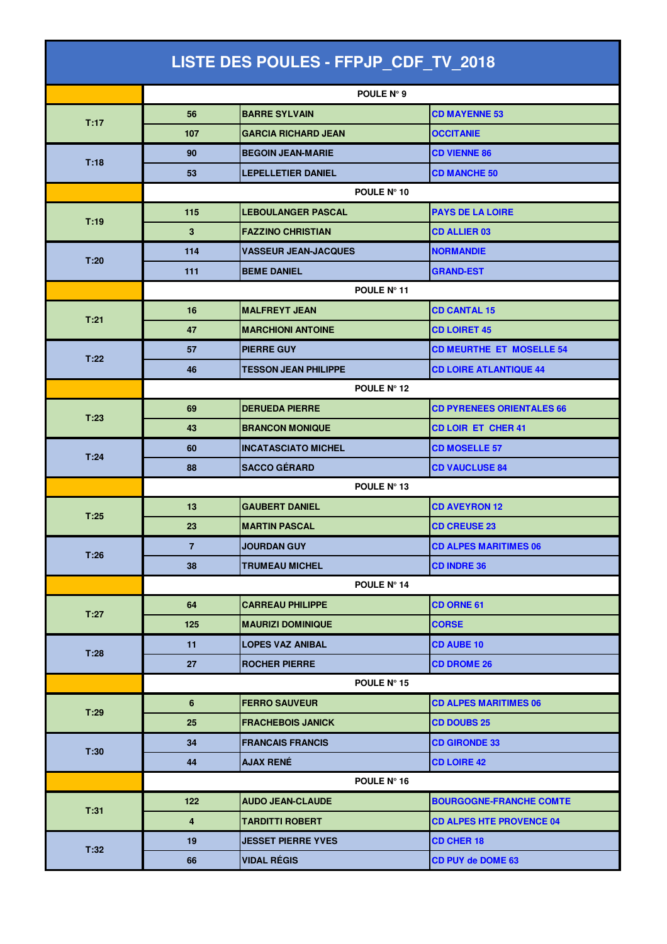| LISTE DES POULES - FFPJP_CDF_TV_2018 |                         |                             |                                  |  |  |
|--------------------------------------|-------------------------|-----------------------------|----------------------------------|--|--|
|                                      |                         | POULE N° 9                  |                                  |  |  |
| T:17                                 | 56                      | <b>BARRE SYLVAIN</b>        | <b>CD MAYENNE 53</b>             |  |  |
|                                      | 107                     | <b>GARCIA RICHARD JEAN</b>  | <b>OCCITANIE</b>                 |  |  |
|                                      | 90                      | <b>BEGOIN JEAN-MARIE</b>    | <b>CD VIENNE 86</b>              |  |  |
| T:18                                 | 53                      | <b>LEPELLETIER DANIEL</b>   | <b>CD MANCHE 50</b>              |  |  |
|                                      | POULE N° 10             |                             |                                  |  |  |
| T:19                                 | 115                     | <b>LEBOULANGER PASCAL</b>   | <b>PAYS DE LA LOIRE</b>          |  |  |
|                                      | 3                       | <b>FAZZINO CHRISTIAN</b>    | <b>CD ALLIER 03</b>              |  |  |
| T:20                                 | 114                     | <b>VASSEUR JEAN-JACQUES</b> | <b>NORMANDIE</b>                 |  |  |
|                                      | 111                     | <b>BEME DANIEL</b>          | <b>GRAND-EST</b>                 |  |  |
|                                      |                         | POULE Nº 11                 |                                  |  |  |
| T:21                                 | 16                      | <b>MALFREYT JEAN</b>        | <b>CD CANTAL 15</b>              |  |  |
|                                      | 47                      | <b>MARCHIONI ANTOINE</b>    | <b>CD LOIRET 45</b>              |  |  |
| T:22                                 | 57                      | <b>PIERRE GUY</b>           | <b>CD MEURTHE ET MOSELLE 54</b>  |  |  |
|                                      | 46                      | <b>TESSON JEAN PHILIPPE</b> | <b>CD LOIRE ATLANTIQUE 44</b>    |  |  |
|                                      |                         | POULE N° 12                 |                                  |  |  |
| T:23                                 | 69                      | <b>DERUEDA PIERRE</b>       | <b>CD PYRENEES ORIENTALES 66</b> |  |  |
|                                      | 43                      | <b>BRANCON MONIQUE</b>      | <b>CD LOIR ET CHER 41</b>        |  |  |
| T:24                                 | 60                      | <b>INCATASCIATO MICHEL</b>  | <b>CD MOSELLE 57</b>             |  |  |
|                                      | 88                      | <b>SACCO GÉRARD</b>         | <b>CD VAUCLUSE 84</b>            |  |  |
|                                      |                         | POULE N° 13                 |                                  |  |  |
| T:25                                 | 13                      | <b>GAUBERT DANIEL</b>       | <b>CD AVEYRON 12</b>             |  |  |
|                                      | 23                      | <b>MARTIN PASCAL</b>        | <b>CD CREUSE 23</b>              |  |  |
| T:26                                 | $\overline{7}$          | <b>JOURDAN GUY</b>          | <b>CD ALPES MARITIMES 06</b>     |  |  |
|                                      | 38                      | <b>TRUMEAU MICHEL</b>       | <b>CD INDRE 36</b>               |  |  |
|                                      |                         | POULE Nº 14                 |                                  |  |  |
| T:27                                 | 64                      | <b>CARREAU PHILIPPE</b>     | <b>CD ORNE 61</b>                |  |  |
|                                      | 125                     | <b>MAURIZI DOMINIQUE</b>    | <b>CORSE</b>                     |  |  |
| T:28                                 | 11                      | <b>LOPES VAZ ANIBAL</b>     | <b>CD AUBE 10</b>                |  |  |
|                                      | 27                      | <b>ROCHER PIERRE</b>        | <b>CD DROME 26</b>               |  |  |
|                                      |                         | POULE N° 15                 |                                  |  |  |
| T:29                                 | 6                       | <b>FERRO SAUVEUR</b>        | <b>CD ALPES MARITIMES 06</b>     |  |  |
|                                      | 25                      | <b>FRACHEBOIS JANICK</b>    | <b>CD DOUBS 25</b>               |  |  |
| T:30                                 | 34                      | <b>FRANCAIS FRANCIS</b>     | <b>CD GIRONDE 33</b>             |  |  |
|                                      | 44                      | <b>AJAX RENÉ</b>            | <b>CD LOIRE 42</b>               |  |  |
|                                      |                         | POULE N° 16                 |                                  |  |  |
| T:31                                 | 122                     | <b>AUDO JEAN-CLAUDE</b>     | <b>BOURGOGNE-FRANCHE COMTE</b>   |  |  |
|                                      | $\overline{\mathbf{4}}$ | TARDITTI ROBERT             | <b>CD ALPES HTE PROVENCE 04</b>  |  |  |
| T:32                                 | 19                      | <b>JESSET PIERRE YVES</b>   | <b>CD CHER 18</b>                |  |  |
|                                      | 66                      | <b>VIDAL RÉGIS</b>          | <b>CD PUY de DOME 63</b>         |  |  |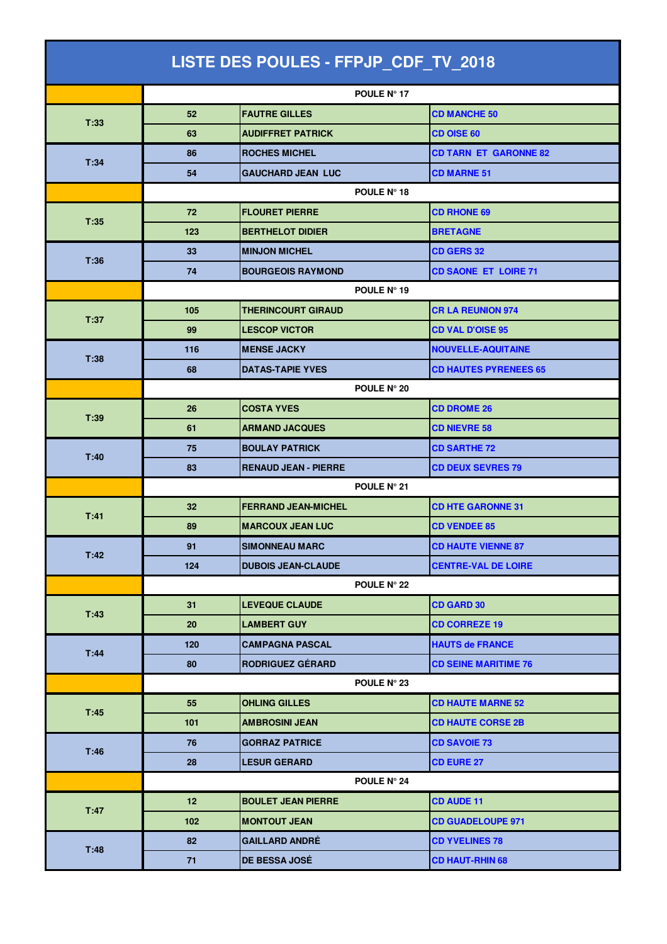| LISTE DES POULES - FFPJP_CDF_TV_2018 |                    |                             |                              |  |  |
|--------------------------------------|--------------------|-----------------------------|------------------------------|--|--|
|                                      |                    | POULE N° 17                 |                              |  |  |
| T:33                                 | 52                 | <b>FAUTRE GILLES</b>        | <b>CD MANCHE 50</b>          |  |  |
|                                      | 63                 | <b>AUDIFFRET PATRICK</b>    | <b>CD OISE 60</b>            |  |  |
|                                      | 86                 | <b>ROCHES MICHEL</b>        | <b>CD TARN ET GARONNE 82</b> |  |  |
| T:34                                 | 54                 | <b>GAUCHARD JEAN LUC</b>    | <b>CD MARNE 51</b>           |  |  |
|                                      | POULE N° 18        |                             |                              |  |  |
|                                      | 72                 | <b>FLOURET PIERRE</b>       | <b>CD RHONE 69</b>           |  |  |
| T:35                                 | 123                | <b>BERTHELOT DIDIER</b>     | <b>BRETAGNE</b>              |  |  |
| T:36                                 | 33                 | <b>MINJON MICHEL</b>        | <b>CD GERS 32</b>            |  |  |
|                                      | 74                 | <b>BOURGEOIS RAYMOND</b>    | <b>CD SAONE ET LOIRE 71</b>  |  |  |
|                                      | POULE N° 19        |                             |                              |  |  |
| T:37                                 | 105                | <b>THERINCOURT GIRAUD</b>   | <b>CR LA REUNION 974</b>     |  |  |
|                                      | 99                 | <b>LESCOP VICTOR</b>        | <b>CD VAL D'OISE 95</b>      |  |  |
| T:38                                 | 116                | <b>MENSE JACKY</b>          | <b>NOUVELLE-AQUITAINE</b>    |  |  |
|                                      | 68                 | <b>DATAS-TAPIE YVES</b>     | <b>CD HAUTES PYRENEES 65</b> |  |  |
|                                      |                    | POULE N° 20                 |                              |  |  |
| T:39                                 | 26                 | <b>COSTA YVES</b>           | <b>CD DROME 26</b>           |  |  |
|                                      | 61                 | <b>ARMAND JACQUES</b>       | <b>CD NIEVRE 58</b>          |  |  |
| T:40                                 | 75                 | <b>BOULAY PATRICK</b>       | <b>CD SARTHE 72</b>          |  |  |
|                                      | 83                 | <b>RENAUD JEAN - PIERRE</b> | <b>CD DEUX SEVRES 79</b>     |  |  |
|                                      |                    | POULE N° 21                 |                              |  |  |
| T:41                                 | 32                 | <b>FERRAND JEAN-MICHEL</b>  | <b>CD HTE GARONNE 31</b>     |  |  |
|                                      | 89                 | <b>MARCOUX JEAN LUC</b>     | <b>CD VENDEE 85</b>          |  |  |
| T:42                                 | 91                 | <b>SIMONNEAU MARC</b>       | <b>CD HAUTE VIENNE 87</b>    |  |  |
|                                      | 124                | <b>DUBOIS JEAN-CLAUDE</b>   | <b>CENTRE-VAL DE LOIRE</b>   |  |  |
|                                      | <b>POULE N° 22</b> |                             |                              |  |  |
| T:43                                 | 31                 | <b>LEVEQUE CLAUDE</b>       | <b>CD GARD 30</b>            |  |  |
|                                      | 20                 | <b>LAMBERT GUY</b>          | <b>CD CORREZE 19</b>         |  |  |
| T:44                                 | 120                | <b>CAMPAGNA PASCAL</b>      | <b>HAUTS de FRANCE</b>       |  |  |
|                                      | 80                 | <b>RODRIGUEZ GÉRARD</b>     | <b>CD SEINE MARITIME 76</b>  |  |  |
|                                      |                    | POULE N° 23                 |                              |  |  |
| T:45                                 | 55                 | <b>OHLING GILLES</b>        | <b>CD HAUTE MARNE 52</b>     |  |  |
|                                      | 101                | <b>AMBROSINI JEAN</b>       | <b>CD HAUTE CORSE 2B</b>     |  |  |
| T:46                                 | 76                 | <b>GORRAZ PATRICE</b>       | <b>CD SAVOIE 73</b>          |  |  |
|                                      | 28                 | <b>LESUR GERARD</b>         | <b>CD EURE 27</b>            |  |  |
|                                      |                    | POULE N° 24                 |                              |  |  |
| T:47                                 | 12 <sup>2</sup>    | <b>BOULET JEAN PIERRE</b>   | <b>CD AUDE 11</b>            |  |  |
|                                      | 102                | <b>MONTOUT JEAN</b>         | <b>CD GUADELOUPE 971</b>     |  |  |
| T:48                                 | 82                 | <b>GAILLARD ANDRÉ</b>       | <b>CD YVELINES 78</b>        |  |  |
|                                      | 71                 | <b>DE BESSA JOSÉ</b>        | <b>CD HAUT-RHIN 68</b>       |  |  |